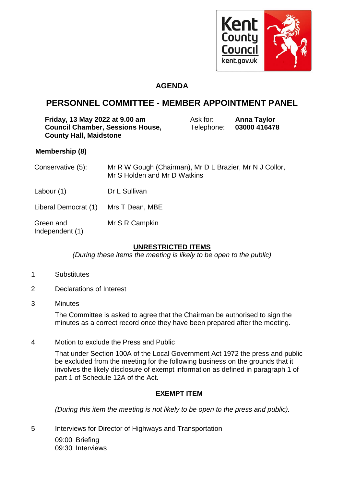

### **AGENDA**

## **PERSONNEL COMMITTEE - MEMBER APPOINTMENT PANEL**

| Friday, 13 May 2022 at 9.00 am          | Ask for:   | <b>Anna Taylor</b> |
|-----------------------------------------|------------|--------------------|
| <b>Council Chamber, Sessions House,</b> | Telephone: | 03000 416478       |
| <b>County Hall, Maidstone</b>           |            |                    |

#### **Membership (8)**

| Conservative (5):            | Mr R W Gough (Chairman), Mr D L Brazier, Mr N J Collor,<br>Mr S Holden and Mr D Watkins |
|------------------------------|-----------------------------------------------------------------------------------------|
| Labour $(1)$                 | Dr L Sullivan                                                                           |
| Liberal Democrat (1)         | Mrs T Dean, MBE                                                                         |
| Green and<br>Independent (1) | Mr S R Campkin                                                                          |

#### **UNRESTRICTED ITEMS**

*(During these items the meeting is likely to be open to the public)*

- 1 Substitutes
- 2 Declarations of Interest
- 3 Minutes

The Committee is asked to agree that the Chairman be authorised to sign the minutes as a correct record once they have been prepared after the meeting.

4 Motion to exclude the Press and Public

That under Section 100A of the Local Government Act 1972 the press and public be excluded from the meeting for the following business on the grounds that it involves the likely disclosure of exempt information as defined in paragraph 1 of part 1 of Schedule 12A of the Act.

#### **EXEMPT ITEM**

*(During this item the meeting is not likely to be open to the press and public).*

5 Interviews for Director of Highways and Transportation 09:00 Briefing

09:30 Interviews